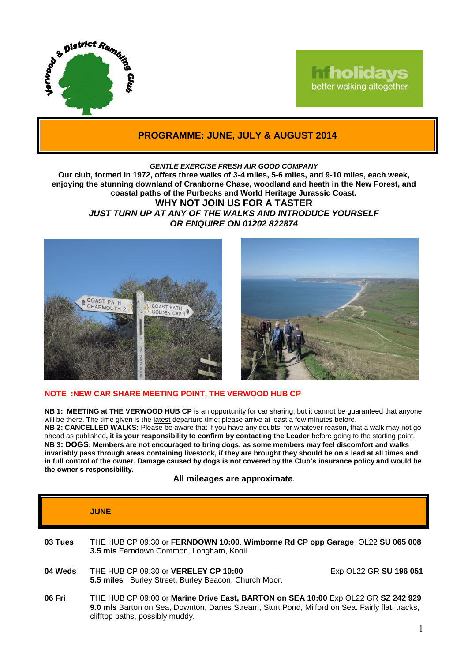

# **Tholidays** better walking altogether

# **PROGRAMME: JUNE, JULY & AUGUST 2014**

#### *GENTLE EXERCISE FRESH AIR GOOD COMPANY*

**Our club, formed in 1972, offers three walks of 3-4 miles, 5-6 miles, and 9-10 miles, each week, enjoying the stunning downland of Cranborne Chase, woodland and heath in the New Forest, and coastal paths of the Purbecks and World Heritage Jurassic Coast. WHY NOT JOIN US FOR A TASTER** *JUST TURN UP AT ANY OF THE WALKS AND INTRODUCE YOURSELF OR ENQUIRE ON 01202 822874*





## **NOTE :NEW CAR SHARE MEETING POINT, THE VERWOOD HUB CP**

**NB 1: MEETING at THE VERWOOD HUB CP** is an opportunity for car sharing, but it cannot be guaranteed that anyone will be there. The time given is the latest departure time; please arrive at least a few minutes before. **NB 2: CANCELLED WALKS:** Please be aware that if you have any doubts, for whatever reason, that a walk may not go ahead as published**, it is your responsibility to confirm by contacting the Leader** before going to the starting point. **NB 3: DOGS: Members are not encouraged to bring dogs, as some members may feel discomfort and walks invariably pass through areas containing livestock, if they are brought they should be on a lead at all times and in full control of the owner. Damage caused by dogs is not covered by the Club's insurance policy and would be the owner's responsibility.**

**All mileages are approximate.**

|         | <b>JUNE</b>                                                                                                                                                                                                            |                        |
|---------|------------------------------------------------------------------------------------------------------------------------------------------------------------------------------------------------------------------------|------------------------|
| 03 Tues | THE HUB CP 09:30 or FERNDOWN 10:00. Wimborne Rd CP opp Garage OL22 SU 065 008<br>3.5 mls Ferndown Common, Longham, Knoll.                                                                                              |                        |
| 04 Weds | THE HUB CP 09:30 or <b>VERELEY CP 10:00</b><br>5.5 miles Burley Street, Burley Beacon, Church Moor.                                                                                                                    | Exp OL22 GR SU 196 051 |
| 06 Fri  | THE HUB CP 09:00 or Marine Drive East, BARTON on SEA 10:00 Exp OL22 GR SZ 242 929<br>9.0 mls Barton on Sea, Downton, Danes Stream, Sturt Pond, Milford on Sea. Fairly flat, tracks,<br>clifftop paths, possibly muddy. |                        |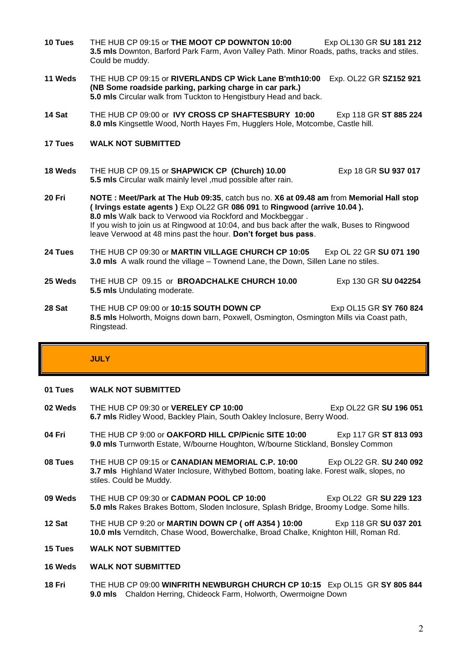- **10 Tues** THE HUB CP 09:15 or **THE MOOT CP DOWNTON 10:00** Exp OL130 GR **SU 181 212 3.5 mls** Downton, Barford Park Farm, Avon Valley Path. Minor Roads, paths, tracks and stiles. Could be muddy.
- **11 Weds** THE HUB CP 09:15 or **RIVERLANDS CP Wick Lane B'mth10:00** Exp. OL22 GR **SZ152 921 (NB Some roadside parking, parking charge in car park.) 5.0 mls** Circular walk from Tuckton to Hengistbury Head and back.
- **14 Sat** THE HUB CP 09:00 or **IVY CROSS CP SHAFTESBURY 10:00** Exp 118 GR **ST 885 224 8.0 mls** Kingsettle Wood, North Hayes Fm, Hugglers Hole, Motcombe, Castle hill.
- **17 Tues WALK NOT SUBMITTED**
- **18 Weds** THE HUB CP 09.15 or **SHAPWICK CP (Church) 10.00** Exp 18 GR **SU 937 017 5.5 mls** Circular walk mainly level ,mud possible after rain.
- **20 Fri NOTE : Meet/Park at The Hub 09:35**, catch bus no. **X6 at 09.48 am** from **Memorial Hall stop ( Irvings estate agents )** Exp OL22 GR **086 091** to **Ringwood (arrive 10.04 ). 8.0 mls** Walk back to Verwood via Rockford and Mockbeggar . If you wish to join us at Ringwood at 10:04, and bus back after the walk, Buses to Ringwood leave Verwood at 48 mins past the hour. **Don't forget bus pass**.
- **24 Tues** THE HUB CP 09:30 or **MARTIN VILLAGE CHURCH CP 10:05** Exp OL 22 GR **SU 071 190 3.0 mls** A walk round the village – Townend Lane, the Down, Sillen Lane no stiles.
- **25 Weds** THE HUB CP 09.15 or **BROADCHALKE CHURCH 10.00** Exp 130 GR **SU 042254 5.5 mls** Undulating moderate.
- **28 Sat** THE HUB CP 09:00 or **10:15 SOUTH DOWN CP** Exp OL15 GR **SY 760 824 8.5 mls** Holworth, Moigns down barn, Poxwell, Osmington, Osmington Mills via Coast path, Ringstead.

## **JULY**

#### **01 Tues WALK NOT SUBMITTED**

- **02 Weds** THE HUB CP 09:30 or **VERELEY CP 10:00** Exp OL22 GR SU 196 051 **6.7 mls** Ridley Wood, Backley Plain, South Oakley Inclosure, Berry Wood.
- **04 Fri** THE HUB CP 9:00 or **OAKFORD HILL CP/Picnic SITE 10:00** Exp 117 GR **ST 813 093 9.0 mls** Turnworth Estate, W/bourne Houghton, W/bourne Stickland, Bonsley Common
- **08 Tues** THE HUB CP 09:15 or **CANADIAN MEMORIAL C.P. 10:00** Exp OL22 GR. **SU 240 092 3.7 mls** Highland Water Inclosure, Withybed Bottom, boating lake. Forest walk, slopes, no stiles. Could be Muddy.
- **09 Weds** THE HUB CP 09:30 or **CADMAN POOL CP 10:00** Exp OL22 GR SU 229 123 **5.0 mls** Rakes Brakes Bottom, Sloden Inclosure, Splash Bridge, Broomy Lodge. Some hills.
- **12 Sat** THE HUB CP 9:20 or **MARTIN DOWN CP ( off A354 ) 10:00** Exp 118 GR **SU 037 201 10.0 mls** Vernditch, Chase Wood, Bowerchalke, Broad Chalke, Knighton Hill, Roman Rd.
- **15 Tues WALK NOT SUBMITTED**
- **16 Weds WALK NOT SUBMITTED**
- **18 Fri** THE HUB CP 09:00 **WINFRITH NEWBURGH CHURCH CP 10:15** Exp OL15 GR **SY 805 844 9.0 mls** Chaldon Herring, Chideock Farm, Holworth, Owermoigne Down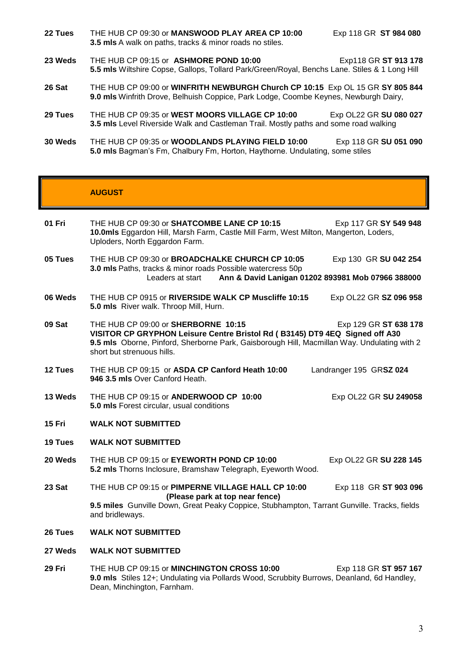**22 Tues** THE HUB CP 09:30 or **MANSWOOD PLAY AREA CP 10:00** Exp 118 GR **ST 984 080 3.5 mls** A walk on paths, tracks & minor roads no stiles.

- **23 Weds** THE HUB CP 09:15 or **ASHMORE POND 10:00** Exp118 GR **ST 913 178 5.5 mls** Wiltshire Copse, Gallops, Tollard Park/Green/Royal, Benchs Lane. Stiles & 1 Long Hill
- **26 Sat** THE HUB CP 09:00 or **WINFRITH NEWBURGH Church CP 10:15** Exp OL 15 GR **SY 805 844 9.0 mls** Winfrith Drove, Belhuish Coppice, Park Lodge, Coombe Keynes, Newburgh Dairy,
- **29 Tues** THE HUB CP 09:35 or **WEST MOORS VILLAGE CP 10:00** Exp OL22 GR **SU 080 027 3.5 mls** Level Riverside Walk and Castleman Trail. Mostly paths and some road walking
- **30 Weds** THE HUB CP 09:35 or **WOODLANDS PLAYING FIELD 10:00** Exp 118 GR **SU 051 090 5.0 mls** Bagman's Fm, Chalbury Fm, Horton, Haythorne. Undulating, some stiles

## **AUGUST**

- **01 Fri** THE HUB CP 09:30 or **SHATCOMBE LANE CP 10:15** Exp 117 GR **SY 549 948 10.0mls** Eggardon Hill, Marsh Farm, Castle Mill Farm, West Milton, Mangerton, Loders, Uploders, North Eggardon Farm. **05 Tues** THE HUB CP 09:30 or **BROADCHALKE CHURCH CP 10:05** Exp 130 GR **SU 042 254 3.0 mls** Paths, tracks & minor roads Possible watercress 50p Leaders at start **Ann & David Lanigan 01202 893981 Mob 07966 388000 06 Weds** THE HUB CP 0915 or **RIVERSIDE WALK CP Muscliffe 10:15** Exp OL22 GR **SZ 096 958 5.0 mls** River walk. Throop Mill, Hurn. **09 Sat** THE HUB CP 09:00 or **SHERBORNE 10:15** Exp 129 GR **ST 638 178 VISITOR CP GRYPHON Leisure Centre Bristol Rd ( B3145) DT9 4EQ Signed off A30 9.5 mls** Oborne, Pinford, Sherborne Park, Gaisborough Hill, Macmillan Way. Undulating with 2 short but strenuous hills.
- **12 Tues** THE HUB CP 09:15 or **ASDA CP Canford Heath 10:00** Landranger 195 GR**SZ 024 946 3.5 mls** Over Canford Heath.
- **13 Weds** THE HUB CP 09:15 or **ANDERWOOD CP 10:00** Exp OL22 GR **SU 249058 5.0 mls** Forest circular, usual conditions
- **15 Fri WALK NOT SUBMITTED**
- **19 Tues WALK NOT SUBMITTED**
- **20 Weds** THE HUB CP 09:15 or **EYEWORTH POND CP 10:00** Exp OL22 GR **SU 228 145 5.2 mls** Thorns Inclosure, Bramshaw Telegraph, Eyeworth Wood.
- **23 Sat** THE HUB CP 09:15 or **PIMPERNE VILLAGE HALL CP 10:00** Exp 118 GR **ST 903 096 (Please park at top near fence) 9.5 miles** Gunville Down, Great Peaky Coppice, Stubhampton, Tarrant Gunville. Tracks, fields and bridleways.
- **26 Tues WALK NOT SUBMITTED**
- **27 Weds WALK NOT SUBMITTED**
- **29 Fri** THE HUB CP 09:15 or **MINCHINGTON CROSS 10:00** Exp 118 GR **ST 957 167 9.0 mls** Stiles 12+; Undulating via Pollards Wood, Scrubbity Burrows, Deanland, 6d Handley, Dean, Minchington, Farnham.